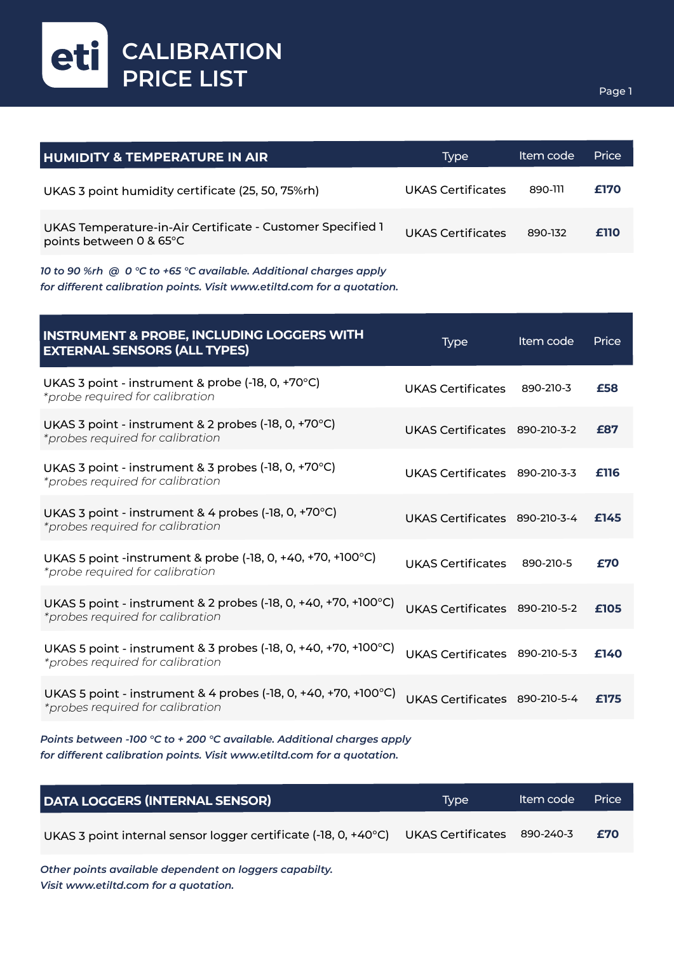eti **CALIBRATION PRICE LIST**

| <b>HUMIDITY &amp; TEMPERATURE IN AIR</b>                                              | Type                     | Item code | Price |
|---------------------------------------------------------------------------------------|--------------------------|-----------|-------|
| UKAS 3 point humidity certificate (25, 50, 75%rh)                                     | UKAS Certificates        | 890-111   | £170  |
| UKAS Temperature-in-Air Certificate - Customer Specified 1<br>points between 0 & 65°C | <b>UKAS Certificates</b> | 890-132   | £110  |

*10 to 90 %rh @ 0 °C to +65 °C available. Additional charges apply for different calibration points. Visit www.etiltd.com for a quotation.*

| <b>INSTRUMENT &amp; PROBE, INCLUDING LOGGERS WITH</b><br><b>EXTERNAL SENSORS (ALL TYPES)</b>                   | <b>Type</b>                   | Item code | Price |
|----------------------------------------------------------------------------------------------------------------|-------------------------------|-----------|-------|
| UKAS 3 point - instrument & probe (-18, 0, +70°C)<br>*probe required for calibration                           | <b>UKAS Certificates</b>      | 890-210-3 | £58   |
| UKAS 3 point - instrument & 2 probes (-18, 0, +70°C)<br>*probes required for calibration                       | UKAS Certificates 890-210-3-2 |           | £87   |
| UKAS 3 point - instrument & 3 probes (-18, 0, +70 $^{\circ}$ C)<br>*probes required for calibration            | UKAS Certificates 890-210-3-3 |           | £116  |
| UKAS 3 point - instrument & 4 probes (-18, 0, +70°C)<br>*probes required for calibration                       | UKAS Certificates 890-210-3-4 |           | £145  |
| UKAS 5 point -instrument & probe $(-18, 0, +40, +70, +100^{\circ}C)$<br>*probe required for calibration        | <b>UKAS Certificates</b>      | 890-210-5 | £70   |
| UKAS 5 point - instrument & 2 probes (-18, 0, +40, +70, +100 $^{\circ}$ C)<br>*probes required for calibration | UKAS Certificates 890-210-5-2 |           | £105  |
| UKAS 5 point - instrument & 3 probes (-18, 0, +40, +70, +100°C)<br>*probes required for calibration            | UKAS Certificates 890-210-5-3 |           | £140  |
| UKAS 5 point - instrument & 4 probes (-18, 0, +40, +70, +100°C)<br>*probes required for calibration            | UKAS Certificates 890-210-5-4 |           | £175  |
|                                                                                                                |                               |           |       |

*Points between -100 °C to + 200 °C available. Additional charges apply for different calibration points. Visit www.etiltd.com for a quotation.* 

| DATA LOGGERS (INTERNAL SENSOR)                                                              | Tvpe | Item code | <b>Price</b> |
|---------------------------------------------------------------------------------------------|------|-----------|--------------|
| UKAS 3 point internal sensor logger certificate (-18, 0, +40°C) UKAS Certificates 890-240-3 |      |           | £70          |

*Other points available dependent on loggers capabilty. Visit www.etiltd.com for a quotation.*